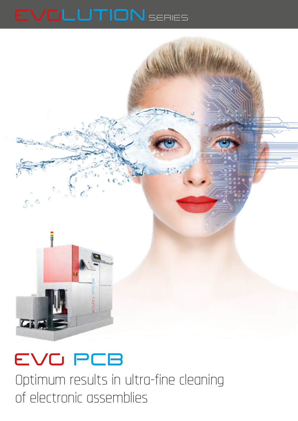



Optimum results in ultra-fine cleaning of electronic assemblies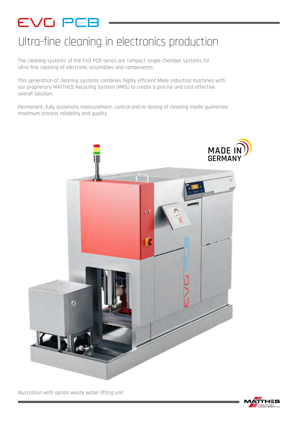## Ultra-fine cleaning in electronics production

The cleaning systems of the EVO PCB series are compact single-chamber systems for ultra-fine cleaning of electronic assemblies and components.

This generation of cleaning systems combines highly efficient Miele industrial machines with our proprietary MATTHES Recycling System (MRS) to create a precise and cost-effective overall solution.

Permanent, fully automatic measurement, control and re-dosing of cleaning media guarantee maximum process reliability and quality



Illustration with option waste water lifting unit

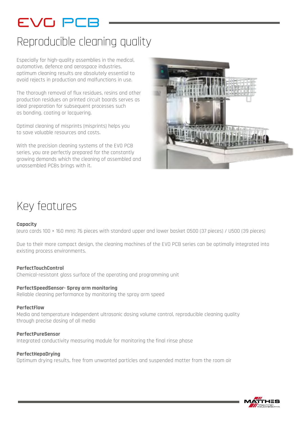# EVO PCE

## Reproducible cleaning quality

Especially for high-quality assemblies in the medical, automotive, defence and aerospace industries, optimum cleaning results are absolutely essential to avoid rejects in production and malfunctions in use.

The thorough removal of flux residues, resins and other production residues on printed circuit boards serves as ideal preparation for subsequent processes such as bonding, coating or lacquering.

Optimal cleaning of misprints (misprints) helps you to save valuable resources and costs.

With the precision cleaning systems of the EVO PCB series, you are perfectly prepared for the constantly growing demands which the cleaning of assembled and unassembled PCBs brings with it.



## Key features

### **Capacity**

(euro cards 100 × 160 mm): 76 pieces with standard upper and lower basket O500 (37 pieces) / U500 (39 pieces)

Due to their more compact design, the cleaning machines of the EVO PCB series can be optimally integrated into existing process environments.

### **PerfectTouchControl**

Chemical-resistant glass surface of the operating and programming unit

### **PerfectSpeedSensor- Spray arm monitoring**

Reliable cleaning performance by monitoring the spray arm speed

### **PerfectFlow**

Media and temperature independent ultrasonic dosing volume control, reproducible cleaning quality through precise dosing of all media

### **PerfectPureSensor**

Integrated conductivity measuring module for monitoring the final rinse phase

### **PerfectHepaDrying**

Optimum drying results, free from unwanted particles and suspended matter from the room air

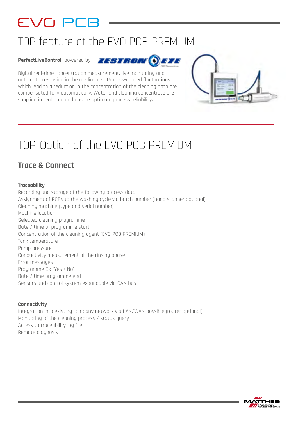## TOP feature of the EVO PCB PREMIUM

**PerfectLiveControl** powered by



Digital real-time concentration measurement, live monitoring and automatic re-dosing in the media inlet. Process-related fluctuations which lead to a reduction in the concentration of the cleaning bath are compensated fully automatically. Water and cleaning concentrate are supplied in real time and ensure optimum process reliability.

## TOP-Option of the EVO PCB PREMIUM

## **Trace & Connect**

## **Traceability**

Recording and storage of the following process data: Assignment of PCBs to the washing cycle via batch number (hand scanner optional) Cleaning machine (type and serial number) Machine location Selected cleaning programme Date / time of programme start Concentration of the cleaning agent (EVO PCB PREMIUM) Tank temperature Pump pressure Conductivity measurement of the rinsing phase Error messages Programme Ok (Yes / No) Date / time programme end Sensors and control system expandable via CAN bus

### **Connectivity**

Integration into existing company network via LAN/WAN possible (router optional) Monitoring of the cleaning process / status query Access to traceability log file Remote diagnosis



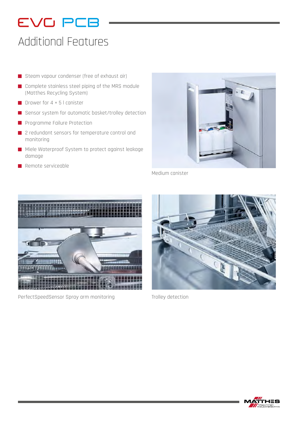## Additional Features

- Steam vapour condenser (free of exhaust air)
- Complete stainless steel piping of the MRS module (Matthes Recycling System)
- Drawer for  $4 \times 5$  l canister
- Sensor system for automatic basket/trolley detection
- **Programme Failure Protection**
- 2 redundant sensors for temperature control and monitoring
- Miele Waterproof System to protect against leakage damage
- Remote serviceable



Medium canister



PerfectSpeedSensor Spray arm monitoring Trolley detection



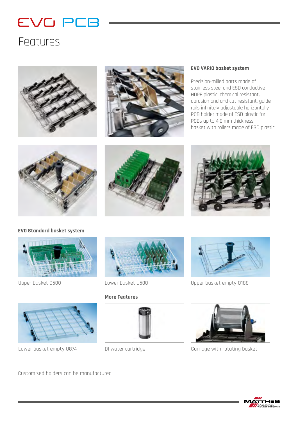## Features





### **EVO VARIO basket system**

Precision-milled parts made of stainless steel and ESD conductive HDPE plastic, chemical resistant, abrasion and and cut-resistant, guide rails infinitely adjustable horizontally, PCB holder made of ESD plastic for PCBs up to 4.0 mm thickness, basket with rollers made of ESD plastic







### **EVO Standard basket system**







### **More Features**





Upper basket O500 Lower basket U500 Upper basket empty O188



Lower basket empty U874 DI water cartridge Carriage with rotating basket

Customised holders can be manufactured.

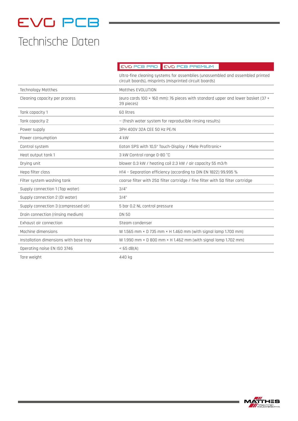## Technische Daten

**PCB PRO PCB PREMIUM**

|                                        | Ultra-fine cleaning systems for assemblies (unassembled and assembled printed<br>circuit boards), misprints (misprinted circuit boards) |
|----------------------------------------|-----------------------------------------------------------------------------------------------------------------------------------------|
| Technology Matthes                     | Matthes EVOLUTION                                                                                                                       |
| Cleaning capacity per process          | (euro cards 100 × 160 mm): 76 pieces with standard upper and lower basket (37 +<br>39 pieces)                                           |
| Tank capacity 1                        | 60 litres                                                                                                                               |
| Tank capacity 2                        | - (fresh water system for reproducible rinsing results)                                                                                 |
| Power supply                           | 3PH 400V 32A CEE 50 Hz PE/N                                                                                                             |
| Power consumption                      | 4 kW                                                                                                                                    |
| Control system                         | Eaton SPS with 10,5" Touch-Display / Miele Profitronic+                                                                                 |
| Heat output tank 1                     | 3 kW Control range 0-80 °C                                                                                                              |
| Drying unit                            | blower 0.3 kW / heating coil 2.3 kW / air capacity 55 m3/h                                                                              |
| Hepa filter class                      | H14 - Separation efficiency (according to DIN EN 1822) 99.995 %                                                                         |
| Filter system washing tank             | coarse filter with 250 filter cartridge / fine filter with 50 filter cartridge                                                          |
| Supply connection 1 (Tap water)        | 3/4"                                                                                                                                    |
| Supply connection 2 (DI water)         | 3/4"                                                                                                                                    |
| Supply connection 3 (compressed air)   | 5 bar 0.2 NL control pressure                                                                                                           |
| Drain connection (rinsing medium)      | <b>DN 50</b>                                                                                                                            |
| Exhaust air connection                 | Steam condenser                                                                                                                         |
| Machine dimensions                     | W 1.565 mm × D 735 mm × H 1.460 mm (with signal lamp 1.700 mm)                                                                          |
| Installation dimensions with base tray | W 1.990 mm $\times$ D 800 mm $\times$ H 1.462 mm (with signal lamp 1.702 mm)                                                            |
| Operating noise EN ISO 3746            | $<$ 65 dB(A)                                                                                                                            |
| Tare weight                            | 440 kg                                                                                                                                  |